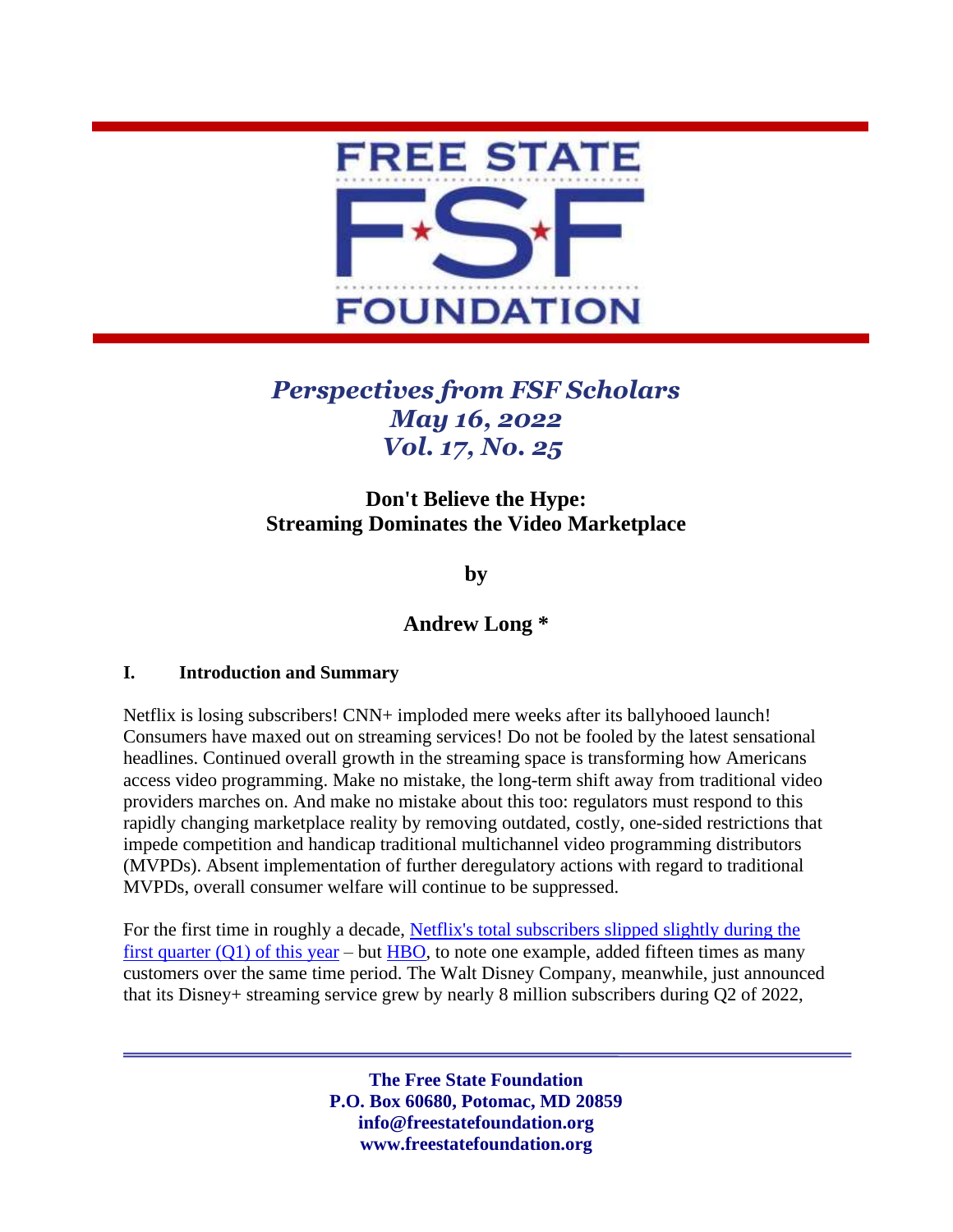

# *Perspectives from FSF Scholars May 16, 2022 Vol. 17, No. 25*

# **Don't Believe the Hype: Streaming Dominates the Video Marketplace**

**by**

# **Andrew Long \***

#### **I. Introduction and Summary**

Netflix is losing subscribers! CNN+ imploded mere weeks after its ballyhooed launch! Consumers have maxed out on streaming services! Do not be fooled by the latest sensational headlines. Continued overall growth in the streaming space is transforming how Americans access video programming. Make no mistake, the long-term shift away from traditional video providers marches on. And make no mistake about this too: regulators must respond to this rapidly changing marketplace reality by removing outdated, costly, one-sided restrictions that impede competition and handicap traditional multichannel video programming distributors (MVPDs). Absent implementation of further deregulatory actions with regard to traditional MVPDs, overall consumer welfare will continue to be suppressed.

For the first time in roughly a decade, [Netflix's total subscribers slipped slightly during the](https://s22.q4cdn.com/959853165/files/doc_financials/2022/q1/FINAL-Q1-22-Shareholder-Letter.pdf)  first quarter  $(Q1)$  of this year – but [HBO,](https://www.engadget.com/hbo-max-hbo-adds-3-million-subscribers-in-its-last-quarter-with-att-074319091.html) to note one example, added fifteen times as many customers over the same time period. The Walt Disney Company, meanwhile, just announced that its Disney+ streaming service grew by nearly 8 million subscribers during Q2 of 2022,

> **The Free State Foundation P.O. Box 60680, Potomac, MD 20859 info@freestatefoundation.org www.freestatefoundation.org**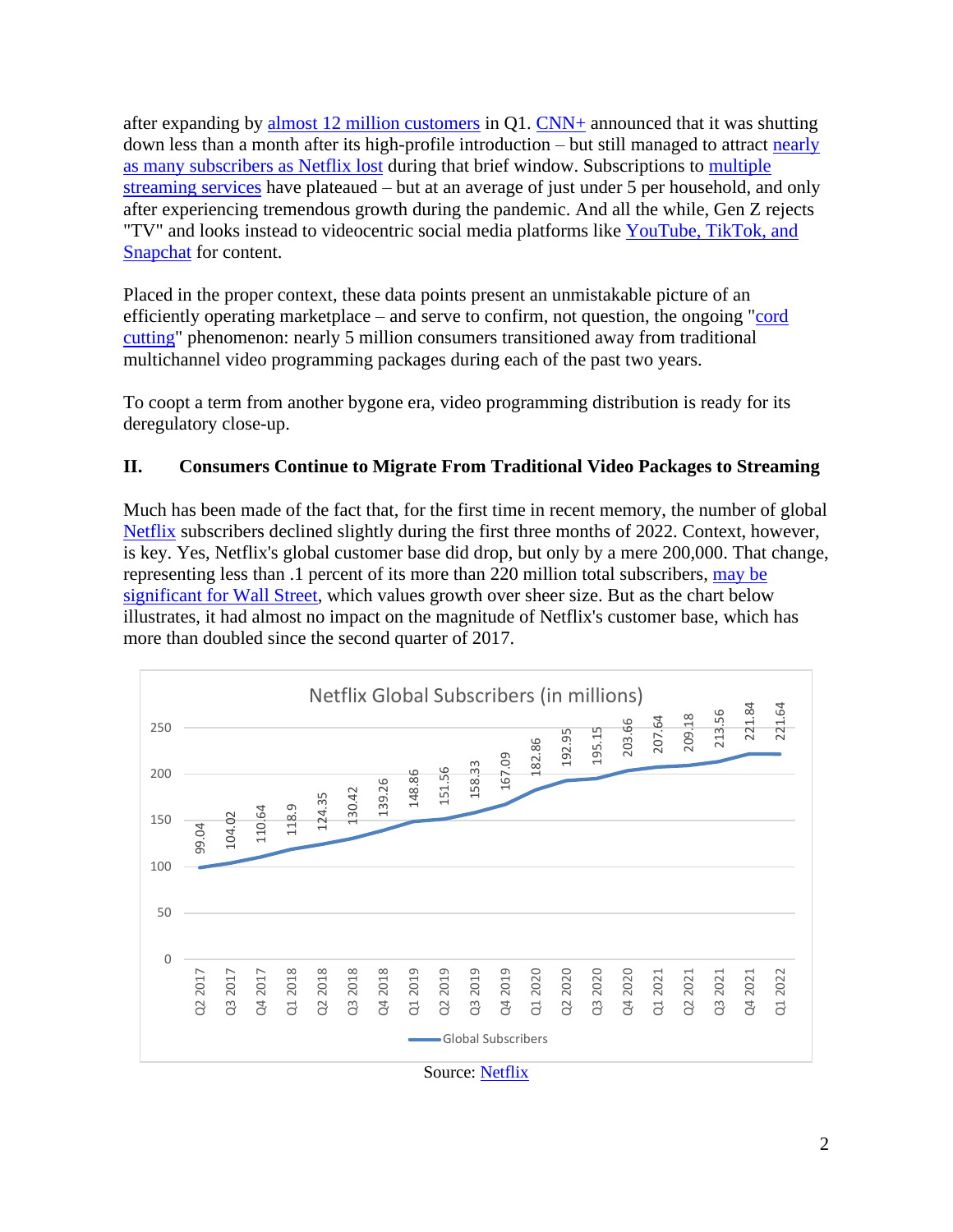after expanding by [almost 12 million customers](https://variety.com/2022/biz/news/disney-plus-subscribers-2021-earnings-1235175715/) in Q1. [CNN+](https://www.axios.com/warner-bros-discovery-shutting-down-cnn-plus-63558fe4-6f70-4b36-a75d-d477e5c29b23.html) announced that it was shutting down less than a month after its high-profile introduction – but still managed to attract [nearly](https://www.nytimes.com/2022/04/21/business/cnn-plus-shutting-down.html)  [as many subscribers as Netflix lost](https://www.nytimes.com/2022/04/21/business/cnn-plus-shutting-down.html) during that brief window. Subscriptions to [multiple](https://www.bloomberg.com/news/articles/2022-04-27/u-s-consumers-stop-adding-new-streaming-services-survey-shows?srnd=technology-vp)  [streaming services](https://www.bloomberg.com/news/articles/2022-04-27/u-s-consumers-stop-adding-new-streaming-services-survey-shows?srnd=technology-vp) have plateaued – but at an average of just under 5 per household, and only after experiencing tremendous growth during the pandemic. And all the while, Gen Z rejects "TV" and looks instead to videocentric social media platforms like YouTube, TikTok, and [Snapchat](https://www.cnbc.com/2021/11/18/tiktok-usage-topped-instagram-in-2021-among-kids-12-to-17-forrester-.html) for content.

Placed in the proper context, these data points present an unmistakable picture of an efficiently operating marketplace – and serve to confirm, not question, the ongoing "cord" [cutting"](https://www.nasdaq.com/articles/cable-tvs-cord-cutting-headwind-just-started-a-new-chapter) phenomenon: nearly 5 million consumers transitioned away from traditional multichannel video programming packages during each of the past two years.

To coopt a term from another bygone era, video programming distribution is ready for its deregulatory close-up.

#### **II. Consumers Continue to Migrate From Traditional Video Packages to Streaming**

Much has been made of the fact that, for the first time in recent memory, the number of global [Netflix](https://s22.q4cdn.com/959853165/files/doc_financials/2022/q1/FINAL-Q1-22-Shareholder-Letter.pdf) subscribers declined slightly during the first three months of 2022. Context, however, is key. Yes, Netflix's global customer base did drop, but only by a mere 200,000. That change, representing less than .1 percent of its more than 220 million total subscribers, [may be](https://www.cnn.com/2022/04/20/media/netflix-stock-drop/index.html)  [significant for Wall Street,](https://www.cnn.com/2022/04/20/media/netflix-stock-drop/index.html) which values growth over sheer size. But as the chart below illustrates, it had almost no impact on the magnitude of Netflix's customer base, which has more than doubled since the second quarter of 2017.



Source: [Netflix](https://ir.netflix.net/ir-overview/profile/default.aspx)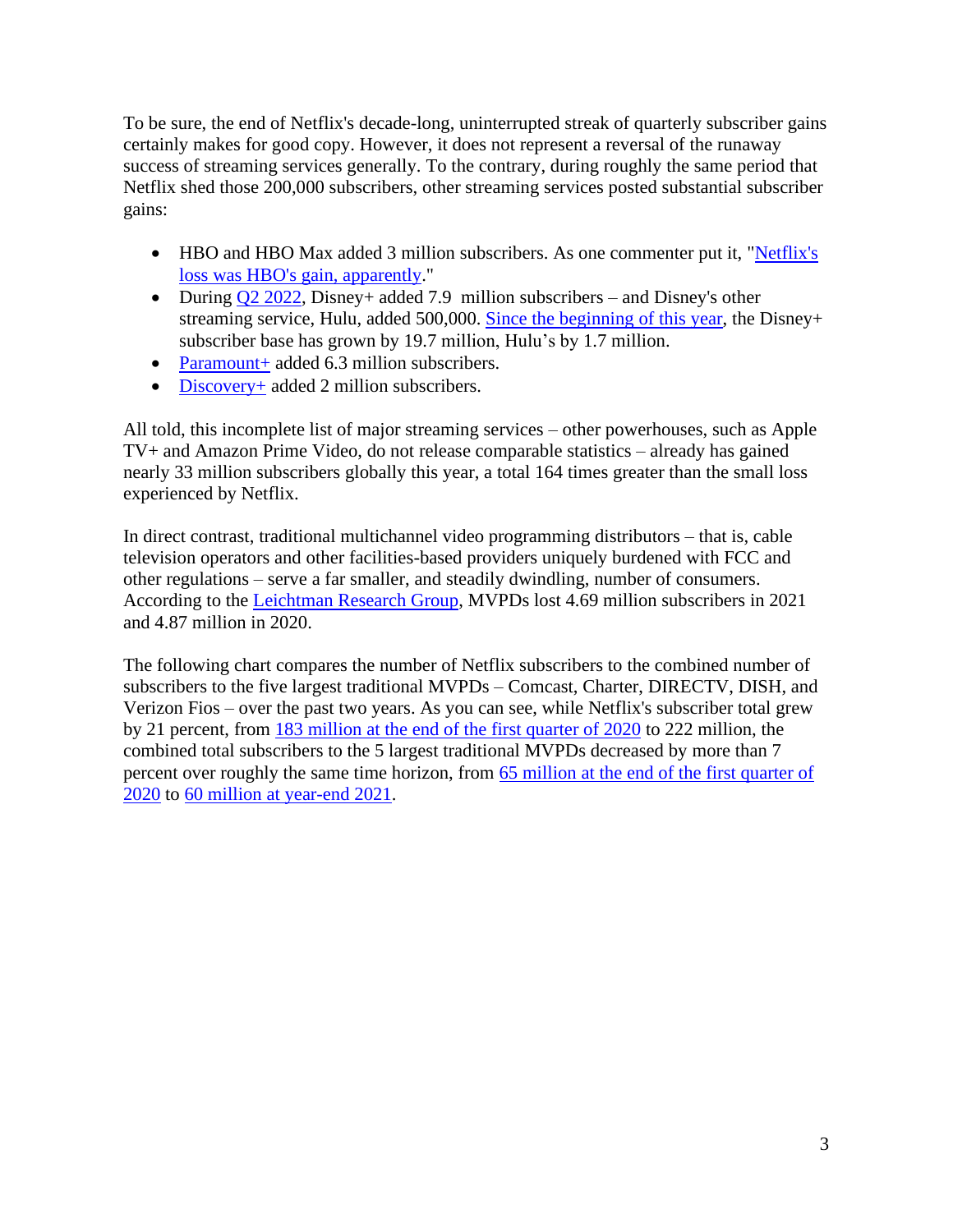To be sure, the end of Netflix's decade-long, uninterrupted streak of quarterly subscriber gains certainly makes for good copy. However, it does not represent a reversal of the runaway success of streaming services generally. To the contrary, during roughly the same period that Netflix shed those 200,000 subscribers, other streaming services posted substantial subscriber gains:

- HBO and HBO Max added 3 million subscribers. As one commenter put it, "Netflix's [loss was HBO's gain, apparently.](https://www.engadget.com/hbo-max-hbo-adds-3-million-subscribers-in-its-last-quarter-with-att-074319091.html)"
- During  $Q2 2022$ , Disney+ added 7.9 million subscribers and Disney's other streaming service, Hulu, added 500,000. [Since the beginning of this year,](https://thewaltdisneycompany.com/app/uploads/2022/02/q1-fy22-earnings.pdf) the Disney+ subscriber base has grown by 19.7 million, Hulu's by 1.7 million.
- [Paramount+](https://www.hollywoodreporter.com/business/business-news/paramount-plus-subscribers-growth-first-quarter-1235138907/) added 6.3 million subscribers.
- [Discovery+](https://www.hollywoodreporter.com/business/business-news/discovery-streaming-subscribers-first-quarter-earnings-1235134666/) added 2 million subscribers.

All told, this incomplete list of major streaming services – other powerhouses, such as Apple TV+ and Amazon Prime Video, do not release comparable statistics – already has gained nearly 33 million subscribers globally this year, a total 164 times greater than the small loss experienced by Netflix.

In direct contrast, traditional multichannel video programming distributors – that is, cable television operators and other facilities-based providers uniquely burdened with FCC and other regulations – serve a far smaller, and steadily dwindling, number of consumers. According to the [Leichtman Research Group,](https://www.leichtmanresearch.com/major-pay-tv-providers-lost-about-4700000-subscribers-in-2021/) MVPDs lost 4.69 million subscribers in 2021 and 4.87 million in 2020.

The following chart compares the number of Netflix subscribers to the combined number of subscribers to the five largest traditional MVPDs – Comcast, Charter, DIRECTV, DISH, and Verizon Fios – over the past two years. As you can see, while Netflix's subscriber total grew by 21 percent, from [183 million at the end of the first quarter of 2020](https://s22.q4cdn.com/959853165/files/doc_financials/2020/q1/updated/FINAL-Q1-20-Shareholder-Letter.pdf) to 222 million, the combined total subscribers to the 5 largest traditional MVPDs decreased by more than 7 percent over roughly the same time horizon, from [65 million at the end of the first quarter of](https://www.leichtmanresearch.com/major-pay-tv-providers-lost-about-2065000-subscribers-in-1q-2020/)  [2020](https://www.leichtmanresearch.com/major-pay-tv-providers-lost-about-2065000-subscribers-in-1q-2020/) to 60 million [at year-end 2021.](https://www.leichtmanresearch.com/major-pay-tv-providers-lost-about-4700000-subscribers-in-2021/)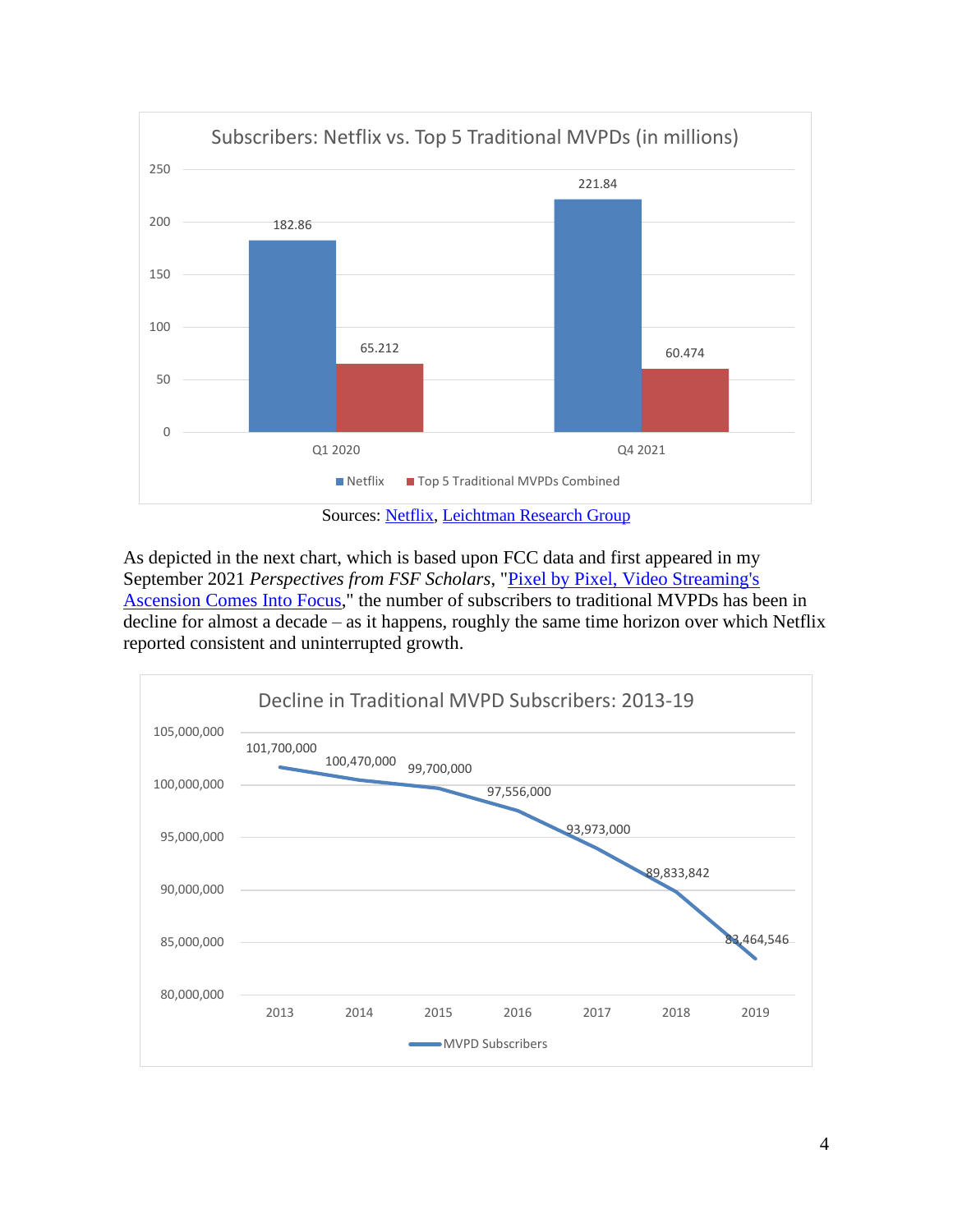

As depicted in the next chart, which is based upon FCC data and first appeared in my September 2021 *Perspectives from FSF Scholars*, ["Pixel by Pixel, Video Streaming's](https://freestatefoundation.org/wp-content/uploads/2021/09/Pixel-by-Pixel-Video-Streamings-Ascension-Comes-Into-Focus-092921.pdf)  [Ascension Comes Into Focus,](https://freestatefoundation.org/wp-content/uploads/2021/09/Pixel-by-Pixel-Video-Streamings-Ascension-Comes-Into-Focus-092921.pdf)" the number of subscribers to traditional MVPDs has been in decline for almost a decade – as it happens, roughly the same time horizon over which Netflix reported consistent and uninterrupted growth.

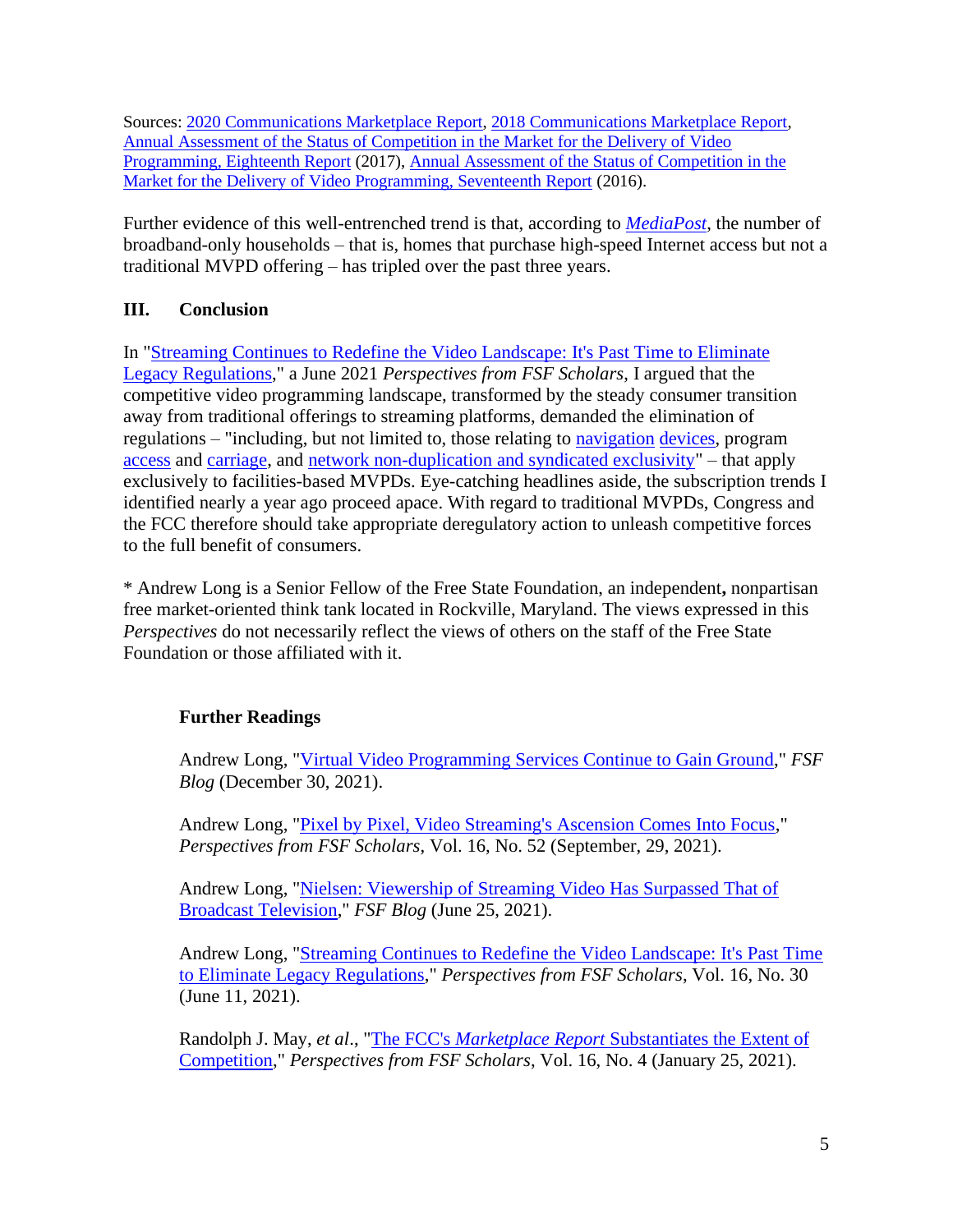Sources: [2020 Communications Marketplace Report,](https://docs.fcc.gov/public/attachments/FCC-20-188A1.pdf) [2018 Communications Marketplace Report,](https://docs.fcc.gov/public/attachments/FCC-18-181A1.pdf) [Annual Assessment of the Status of Competition in the Market for the Delivery of Video](https://docs.fcc.gov/public/attachments/FCC-18-181A1.pdf)  [Programming, Eighteenth Report](https://docs.fcc.gov/public/attachments/FCC-18-181A1.pdf) (2017), [Annual Assessment of the Status of Competition in the](https://docs.fcc.gov/public/attachments/DA-16-510A1.pdf)  [Market for the Delivery of Video Programming, Seventeenth Report](https://docs.fcc.gov/public/attachments/DA-16-510A1.pdf) (2016).

Further evidence of this well-entrenched trend is that, according to *[MediaPost](https://www.mediapost.com/publications/article/373183/broadband-only-hhs-rise-sharply-in-q4-ota-not-so.html)*, the number of broadband-only households – that is, homes that purchase high-speed Internet access but not a traditional MVPD offering – has tripled over the past three years.

### **III. Conclusion**

In ["Streaming Continues to Redefine the Video Landscape: It's Past Time to Eliminate](https://freestatefoundation.org/wp-content/uploads/2021/06/Streaming-Continues-to-Redefine-the-Video-Landscape-061121.pdf)  [Legacy Regulations,](https://freestatefoundation.org/wp-content/uploads/2021/06/Streaming-Continues-to-Redefine-the-Video-Landscape-061121.pdf)" a June 2021 *Perspectives from FSF Scholars*, I argued that the competitive video programming landscape, transformed by the steady consumer transition away from traditional offerings to streaming platforms, demanded the elimination of regulations – "including, but not limited to, those relating to [navigation](https://www.law.cornell.edu/uscode/text/47/549) [devices,](https://www.law.cornell.edu/cfr/text/47/part-76/subpart-P) program [access](https://www.law.cornell.edu/cfr/text/47/part-76/subpart-O) and [carriage,](https://www.law.cornell.edu/cfr/text/47/part-76/subpart-Q) and [network non-duplication and syndicated exclusivity"](https://www.law.cornell.edu/cfr/text/47/part-76/subpart-F) – that apply exclusively to facilities-based MVPDs. Eye-catching headlines aside, the subscription trends I identified nearly a year ago proceed apace. With regard to traditional MVPDs, Congress and the FCC therefore should take appropriate deregulatory action to unleash competitive forces to the full benefit of consumers.

\* Andrew Long is a Senior Fellow of the Free State Foundation, an independent**,** nonpartisan free market-oriented think tank located in Rockville, Maryland. The views expressed in this *Perspectives* do not necessarily reflect the views of others on the staff of the Free State Foundation or those affiliated with it.

### **Further Readings**

Andrew Long, ["Virtual Video Programming Services Continue to Gain Ground,](https://freestatefoundation.blogspot.com/2021/12/virtual-video-programming-services.html)" *FSF Blog* (December 30, 2021).

Andrew Long, ["Pixel by Pixel, Video Streaming's Ascension Comes Into Focus,](https://freestatefoundation.org/wp-content/uploads/2021/09/Pixel-by-Pixel-Video-Streamings-Ascension-Comes-Into-Focus-092921.pdf)" *Perspectives from FSF Scholars*, Vol. 16, No. 52 (September, 29, 2021).

Andrew Long, ["Nielsen: Viewership of Streaming Video Has Surpassed That of](https://freestatefoundation.blogspot.com/2021/06/nielsen-viewership-of-streaming-video.html)  [Broadcast Television,](https://freestatefoundation.blogspot.com/2021/06/nielsen-viewership-of-streaming-video.html)" *FSF Blog* (June 25, 2021).

Andrew Long, ["Streaming Continues to Redefine the Video Landscape: It's Past Time](https://freestatefoundation.org/wp-content/uploads/2021/06/Streaming-Continues-to-Redefine-the-Video-Landscape-061121.pdf)  [to Eliminate Legacy Regulations,](https://freestatefoundation.org/wp-content/uploads/2021/06/Streaming-Continues-to-Redefine-the-Video-Landscape-061121.pdf)" *Perspectives from FSF Scholars*, Vol. 16, No. 30 (June 11, 2021).

Randolph J. May, *et al*., "The FCC's *Marketplace Report* [Substantiates the Extent of](https://freestatefoundation.org/wp-content/uploads/2021/02/The-Communications-Marketplace-Report-Highlights-Intramodal-–-but-Understates-Intermodal-–-Competition-012521.pdf)  [Competition,](https://freestatefoundation.org/wp-content/uploads/2021/02/The-Communications-Marketplace-Report-Highlights-Intramodal-–-but-Understates-Intermodal-–-Competition-012521.pdf)" *Perspectives from FSF Scholars*, Vol. 16, No. 4 (January 25, 2021).